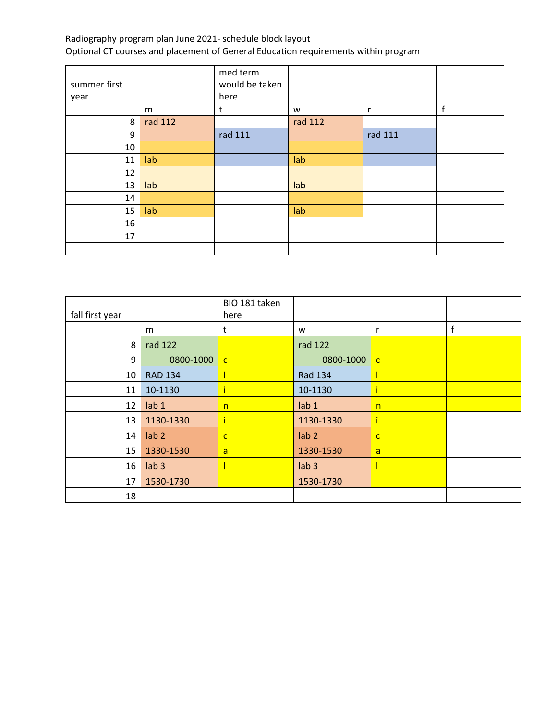|              |         | med term       |         |         |   |
|--------------|---------|----------------|---------|---------|---|
| summer first |         | would be taken |         |         |   |
| year         |         | here           |         |         |   |
|              | m       | t              | w       | r       | f |
| 8            | rad 112 |                | rad 112 |         |   |
| 9            |         | rad 111        |         | rad 111 |   |
| 10           |         |                |         |         |   |
| 11           | lab     |                | lab     |         |   |
| 12           |         |                |         |         |   |
| 13           | lab     |                | lab     |         |   |
| 14           |         |                |         |         |   |
| 15           | lab     |                | lab     |         |   |
| 16           |         |                |         |         |   |
| 17           |         |                |         |         |   |
|              |         |                |         |         |   |

|                 |                  | BIO 181 taken  |                  |              |   |
|-----------------|------------------|----------------|------------------|--------------|---|
| fall first year |                  | here           |                  |              |   |
|                 | m                | t              | W                | r            | f |
| 8               | rad 122          |                | rad 122          |              |   |
| 9               | 0800-1000        | $\mathbf{C}$   | 0800-1000        | $\mathbf{C}$ |   |
| 10              | <b>RAD 134</b>   |                | Rad 134          |              |   |
| 11              | 10-1130          | ĩ              | 10-1130          |              |   |
| 12              | lab <sub>1</sub> | n              | lab <sub>1</sub> | n            |   |
| 13              | 1130-1330        | ĩ              | 1130-1330        |              |   |
| 14              | lab <sub>2</sub> | $\mathsf{C}$   | lab <sub>2</sub> | $\mathbf{C}$ |   |
| 15              | 1330-1530        | $\overline{a}$ | 1330-1530        | a            |   |
| 16              | lab <sub>3</sub> |                | lab <sub>3</sub> |              |   |
| 17              | 1530-1730        |                | 1530-1730        |              |   |
| 18              |                  |                |                  |              |   |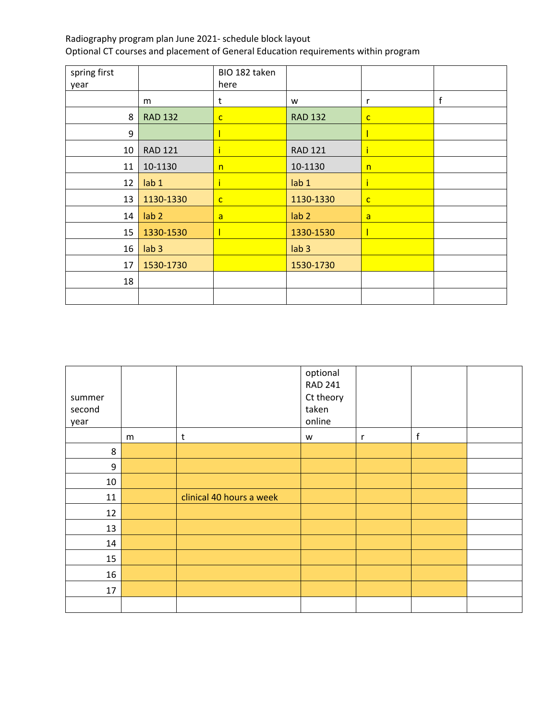| spring first<br>year |                  | BIO 182 taken<br>here |                  |              |             |
|----------------------|------------------|-----------------------|------------------|--------------|-------------|
|                      | m                | t                     | W                | r            | $\mathsf f$ |
| 8                    | <b>RAD 132</b>   | $\mathsf{C}$          | <b>RAD 132</b>   | $\mathbf{C}$ |             |
| 9                    |                  |                       |                  |              |             |
| 10                   | <b>RAD 121</b>   |                       | <b>RAD 121</b>   |              |             |
| 11                   | 10-1130          | n                     | 10-1130          | n            |             |
| 12                   | lab <sub>1</sub> |                       | lab <sub>1</sub> |              |             |
| 13                   | 1130-1330        | $\mathsf{C}$          | 1130-1330        | $\mathsf{C}$ |             |
| 14                   | lab <sub>2</sub> | $\mathsf{a}$          | lab <sub>2</sub> | a            |             |
| 15                   | 1330-1530        |                       | 1330-1530        |              |             |
| 16                   | lab <sub>3</sub> |                       | lab <sub>3</sub> |              |             |
| 17                   | 1530-1730        |                       | 1530-1730        |              |             |
| 18                   |                  |                       |                  |              |             |
|                      |                  |                       |                  |              |             |

| summer<br>second<br>year |   |                          | optional<br><b>RAD 241</b><br>Ct theory<br>taken<br>online |   |             |  |
|--------------------------|---|--------------------------|------------------------------------------------------------|---|-------------|--|
|                          | m | $\sf t$                  | W                                                          | r | $\mathsf f$ |  |
| 8                        |   |                          |                                                            |   |             |  |
| 9                        |   |                          |                                                            |   |             |  |
| 10                       |   |                          |                                                            |   |             |  |
| 11                       |   | clinical 40 hours a week |                                                            |   |             |  |
| 12                       |   |                          |                                                            |   |             |  |
| 13                       |   |                          |                                                            |   |             |  |
| 14                       |   |                          |                                                            |   |             |  |
| 15                       |   |                          |                                                            |   |             |  |
| 16                       |   |                          |                                                            |   |             |  |
| 17                       |   |                          |                                                            |   |             |  |
|                          |   |                          |                                                            |   |             |  |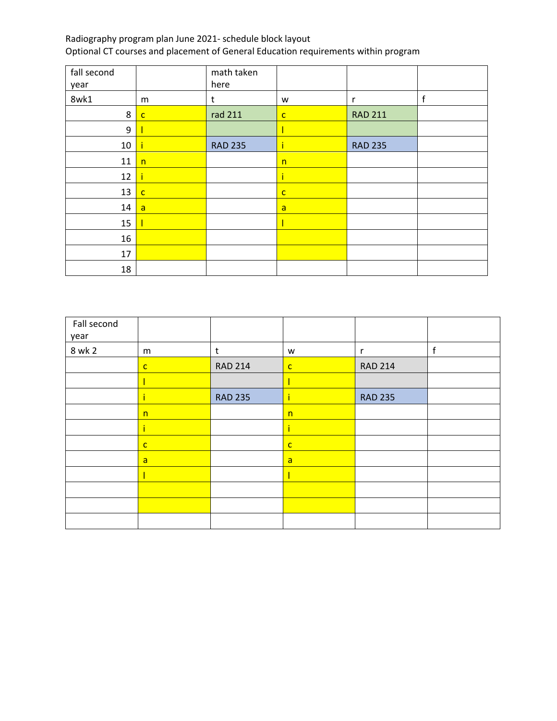| fall second |              | math taken     |              |                |   |
|-------------|--------------|----------------|--------------|----------------|---|
| year        |              | here           |              |                |   |
| 8wk1        | m            | t              | W            | r              | f |
| 8           | $\mathsf{C}$ | rad 211        | $\mathbf{C}$ | <b>RAD 211</b> |   |
| 9           |              |                |              |                |   |
| 10          |              | <b>RAD 235</b> | ï            | <b>RAD 235</b> |   |
| 11          | n            |                | n            |                |   |
| 12          |              |                | ï            |                |   |
| 13          | $\mathbf{C}$ |                | $\mathsf{C}$ |                |   |
| 14          | a            |                | a            |                |   |
| 15          |              |                |              |                |   |
| 16          |              |                |              |                |   |
| 17          |              |                |              |                |   |
| 18          |              |                |              |                |   |

| Fall second<br>year |              |                |                |                |   |
|---------------------|--------------|----------------|----------------|----------------|---|
| 8 wk 2              | m            | t              | W              | r              | f |
|                     | $\mathbf{C}$ | <b>RAD 214</b> | $\mathsf{C}$   | <b>RAD 214</b> |   |
|                     |              |                |                |                |   |
|                     |              | <b>RAD 235</b> |                | <b>RAD 235</b> |   |
|                     | n            |                | n              |                |   |
|                     |              |                |                |                |   |
|                     | $\mathsf{C}$ |                | $\mathsf{C}$   |                |   |
|                     | $\mathsf{a}$ |                | $\overline{a}$ |                |   |
|                     |              |                |                |                |   |
|                     |              |                |                |                |   |
|                     |              |                |                |                |   |
|                     |              |                |                |                |   |